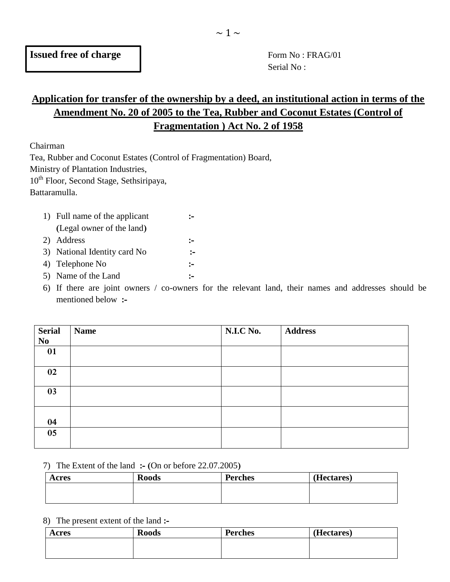Serial No :

# **Application for transfer of the ownership by a deed, an institutional action in terms of the Amendment No. 20 of 2005 to the Tea, Rubber and Coconut Estates (Control of Fragmentation ) Act No. 2 of 1958**

Chairman

Tea, Rubber and Coconut Estates (Control of Fragmentation) Board,

Ministry of Plantation Industries,

10th Floor, Second Stage, Sethsiripaya,

Battaramulla.

| 1) Full name of the applicant |              |  |
|-------------------------------|--------------|--|
| (Legal owner of the land)     |              |  |
| 2) Address                    | $\mathbf{L}$ |  |
| 3) National Identity card No  | $\sim$       |  |
| 4) Telephone No               | $\mathbf{L}$ |  |
| 5) Name of the Land           |              |  |

6) If there are joint owners / co-owners for the relevant land, their names and addresses should be mentioned below **:-**

| Serial<br>No | <b>Name</b> | N.I.C No. | <b>Address</b> |
|--------------|-------------|-----------|----------------|
| 01           |             |           |                |
| 02           |             |           |                |
| 03           |             |           |                |
| 04           |             |           |                |
| 05           |             |           |                |

7) The Extent of the land **:- (**On or before 22.07.2005**)**

| Acres | <b>Roods</b> | <b>Perches</b> | (Hectares) |
|-------|--------------|----------------|------------|
|       |              |                |            |
|       |              |                |            |

8) The present extent of the land **:-**

| Acres | <b>Roods</b> | <b>Perches</b> | (Hectares) |
|-------|--------------|----------------|------------|
|       |              |                |            |
|       |              |                |            |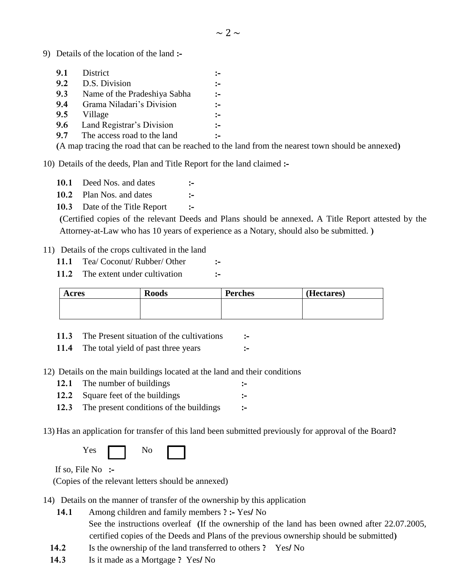9) Details of the location of the land **:-**

| 9.1 | District                                                                    |              |
|-----|-----------------------------------------------------------------------------|--------------|
| 9.2 | D.S. Division                                                               | :-           |
| 9.3 | Name of the Pradeshiya Sabha                                                | $:-$         |
| 9.4 | Grama Niladari's Division                                                   | $:-$         |
| 9.5 | Village                                                                     | $:-$         |
| 9.6 | Land Registrar's Division                                                   | $\mathbf{L}$ |
| 9.7 | The access road to the land                                                 | $\sim$       |
|     | $\sqrt{4}$ , $\sqrt{4}$ , $\sqrt{1}$ , $\sqrt{1}$ , $\sqrt{1}$ , $\sqrt{1}$ |              |

**(**A map tracing the road that can be reached to the land from the nearest town should be annexed**)**

10) Details of the deeds, Plan and Title Report for the land claimed **:-**

- **10.1** Deed Nos. and dates **:-**
- **10.2** Plan Nos. and dates **:-**
- **10.3** Date of the Title Report **:-**

**(**Certified copies of the relevant Deeds and Plans should be annexed**.** A Title Report attested by the Attorney-at-Law who has 10 years of experience as a Notary, should also be submitted. **)**

#### 11)Details of the crops cultivated in the land

- **11.1** Tea/ Coconut/ Rubber/ Other **:-**
- **11.2** The extent under cultivation **:-**

| Acres | <b>Roods</b> | <b>Perches</b> | (Hectares) |
|-------|--------------|----------------|------------|
|       |              |                |            |
|       |              |                |            |

**11.3** The Present situation of the cultivations **:-**

**11.4** The total yield of past three years **:-**

- 12) Details on the main buildings located at the land and their conditions
	- **12.1** The number of buildings **:-**
	- **12.2** Square feet of the buildings **:-**
	- **12.3** The present conditions of the buildings **:-**

13) Has an application for transfer of this land been submitted previously for approval of the Board**?**

| $\mathbf{v}$<br>'es | No |  |
|---------------------|----|--|
|                     |    |  |

If so, File No **:-**

(Copies of the relevant letters should be annexed)

- 14)Details on the manner of transfer of the ownership by this application
	- **14.1** Among children and family members **? :-** Yes**/** No See the instructions overleaf **(**If the ownership of the land has been owned after 22.07.2005,
		- certified copies of the Deeds and Plans of the previous ownership should be submitted**)**
	- **14.2** Is the ownership of the land transferred to others **?** Yes**/** No
	- **14.3** Is it made as a Mortgage **?** Yes**/** No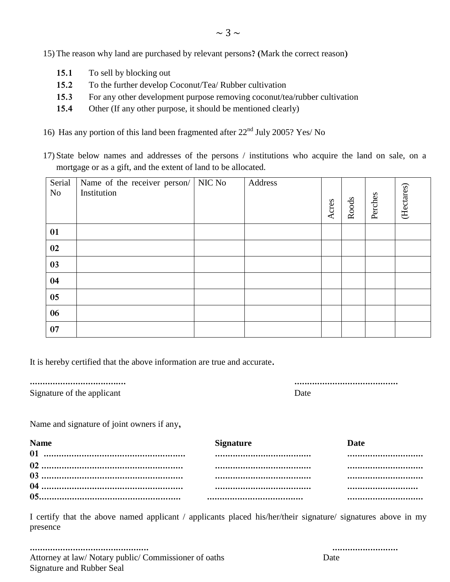15) The reason why land are purchased by relevant persons**? (**Mark the correct reason**)**

- **15.1** To sell by blocking out
- **15.2** To the further develop Coconut/Tea/ Rubber cultivation
- **15.3** For any other development purpose removing coconut/tea/rubber cultivation
- **15.4** Other (If any other purpose, it should be mentioned clearly)
- 16) Has any portion of this land been fragmented after  $22<sup>nd</sup>$  July 2005? Yes/ No
- 17) State below names and addresses of the persons / institutions who acquire the land on sale, on a mortgage or as a gift, and the extent of land to be allocated.

| Serial<br>N <sub>o</sub> | Name of the receiver person/ NIC No<br>Institution | Address | Acres | Roods | Perches | (Hectares) |
|--------------------------|----------------------------------------------------|---------|-------|-------|---------|------------|
| 01                       |                                                    |         |       |       |         |            |
| 02                       |                                                    |         |       |       |         |            |
| 03                       |                                                    |         |       |       |         |            |
| 04                       |                                                    |         |       |       |         |            |
| 05                       |                                                    |         |       |       |         |            |
| 06                       |                                                    |         |       |       |         |            |
| 07                       |                                                    |         |       |       |         |            |

It is hereby certified that the above information are true and accurate**.**

|--|--|--|--|--|--|--|--|--|--|--|--|--|--|--|--|--|--|--|--|--|--|--|--|--|--|--|--|--|--|--|--|--|--|--|--|--|--|

Signature of the applicant

Name and signature of joint owners if any**,**

| <b>Name</b> | <b>Signature</b> | Date |
|-------------|------------------|------|
|             |                  |      |
|             |                  |      |
|             |                  |      |
|             |                  |      |
|             |                  |      |

I certify that the above named applicant / applicants placed his/her/their signature/ signatures above in my presence

**............................................... ..........................** Attorney at law/ Notary public/ Commissioner of oaths Date Signature and Rubber Seal

**...................................... .........................................**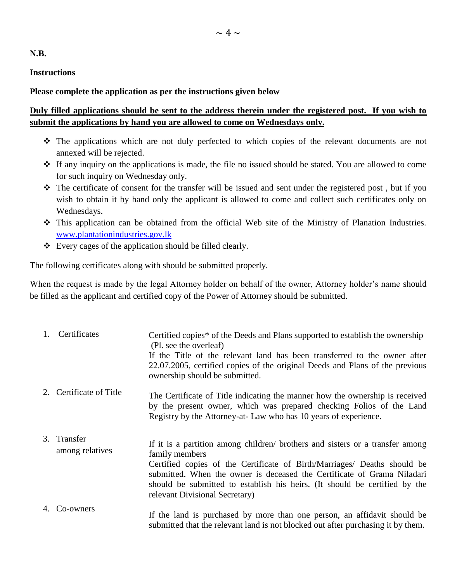**N.B.**

#### **Instructions**

### **Please complete the application as per the instructions given below**

## **Duly filled applications should be sent to the address therein under the registered post. If you wish to submit the applications by hand you are allowed to come on Wednesdays only.**

- The applications which are not duly perfected to which copies of the relevant documents are not annexed will be rejected.
- If any inquiry on the applications is made, the file no issued should be stated. You are allowed to come for such inquiry on Wednesday only.
- The certificate of consent for the transfer will be issued and sent under the registered post , but if you wish to obtain it by hand only the applicant is allowed to come and collect such certificates only on Wednesdays.
- This application can be obtained from the official Web site of the Ministry of Planation Industries. [www.plantationindustries.gov.lk](https://www.plantationindustries.gov.lk/)
- Every cages of the application should be filled clearly.

The following certificates along with should be submitted properly.

When the request is made by the legal Attorney holder on behalf of the owner, Attorney holder's name should be filled as the applicant and certified copy of the Power of Attorney should be submitted.

| 1. | Certificates                   | Certified copies* of the Deeds and Plans supported to establish the ownership<br>(Pl. see the overleaf)<br>If the Title of the relevant land has been transferred to the owner after<br>22.07.2005, certified copies of the original Deeds and Plans of the previous<br>ownership should be submitted.                                                                 |
|----|--------------------------------|------------------------------------------------------------------------------------------------------------------------------------------------------------------------------------------------------------------------------------------------------------------------------------------------------------------------------------------------------------------------|
|    | 2. Certificate of Title        | The Certificate of Title indicating the manner how the ownership is received<br>by the present owner, which was prepared checking Folios of the Land<br>Registry by the Attorney-at- Law who has 10 years of experience.                                                                                                                                               |
|    | 3. Transfer<br>among relatives | If it is a partition among children/ brothers and sisters or a transfer among<br>family members<br>Certified copies of the Certificate of Birth/Marriages/ Deaths should be<br>submitted. When the owner is deceased the Certificate of Grama Niladari<br>should be submitted to establish his heirs. (It should be certified by the<br>relevant Divisional Secretary) |
|    | Co-owners                      | If the land is purchased by more than one person, an affidavit should be<br>submitted that the relevant land is not blocked out after purchasing it by them.                                                                                                                                                                                                           |